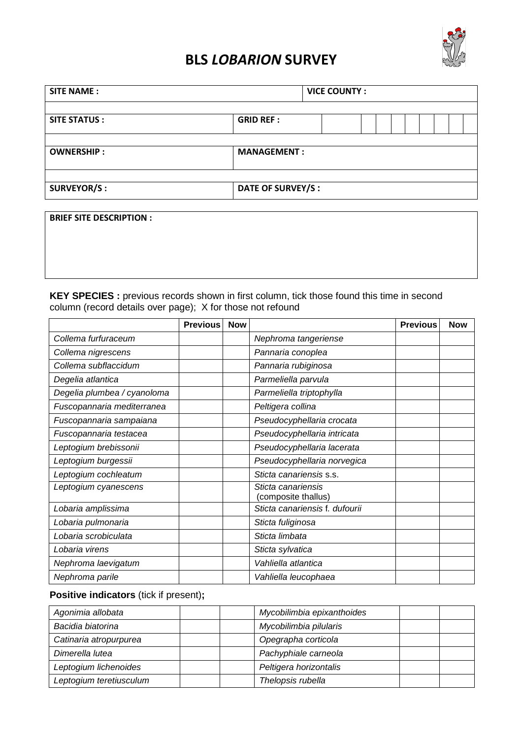

## BLS LOBARION SURVEY

| <b>SITE NAME:</b>   |                    | <b>VICE COUNTY:</b> |
|---------------------|--------------------|---------------------|
| <b>SITE STATUS:</b> | <b>GRID REF:</b>   |                     |
| <b>OWNERSHIP:</b>   | <b>MANAGEMENT:</b> |                     |
| <b>SURVEYOR/S:</b>  | DATE OF SURVEY/S : |                     |

| <b>BRIEF SITE DESCRIPTION:</b> |  |  |  |
|--------------------------------|--|--|--|
|                                |  |  |  |
|                                |  |  |  |
|                                |  |  |  |
|                                |  |  |  |
|                                |  |  |  |
|                                |  |  |  |
|                                |  |  |  |
|                                |  |  |  |
|                                |  |  |  |

KEY SPECIES : previous records shown in first column, tick those found this time in second column (record details over page); X for those not refound

|                             | <b>Previous</b> | <b>Now</b> |                                           | <b>Previous</b> | <b>Now</b> |
|-----------------------------|-----------------|------------|-------------------------------------------|-----------------|------------|
| Collema furfuraceum         |                 |            | Nephroma tangeriense                      |                 |            |
| Collema nigrescens          |                 |            | Pannaria conoplea                         |                 |            |
| Collema subflaccidum        |                 |            | Pannaria rubiginosa                       |                 |            |
| Degelia atlantica           |                 |            | Parmeliella parvula                       |                 |            |
| Degelia plumbea / cyanoloma |                 |            | Parmeliella triptophylla                  |                 |            |
| Fuscopannaria mediterranea  |                 |            | Peltigera collina                         |                 |            |
| Fuscopannaria sampaiana     |                 |            | Pseudocyphellaria crocata                 |                 |            |
| Fuscopannaria testacea      |                 |            | Pseudocyphellaria intricata               |                 |            |
| Leptogium brebissonii       |                 |            | Pseudocyphellaria lacerata                |                 |            |
| Leptogium burgessii         |                 |            | Pseudocyphellaria norvegica               |                 |            |
| Leptogium cochleatum        |                 |            | Sticta canariensis s.s.                   |                 |            |
| Leptogium cyanescens        |                 |            | Sticta canariensis<br>(composite thallus) |                 |            |
| Lobaria amplissima          |                 |            | Sticta canariensis f. dufourii            |                 |            |
| Lobaria pulmonaria          |                 |            | Sticta fuliginosa                         |                 |            |
| Lobaria scrobiculata        |                 |            | Sticta limbata                            |                 |            |
| Lobaria virens              |                 |            | Sticta sylvatica                          |                 |            |
| Nephroma laevigatum         |                 |            | Vahliella atlantica                       |                 |            |
| Nephroma parile             |                 |            | Vahliella leucophaea                      |                 |            |

## **Positive indicators** (tick if present)**;**

| Agonimia allobata       | Mycobilimbia epixanthoides |  |
|-------------------------|----------------------------|--|
| Bacidia biatorina       | Mycobilimbia pilularis     |  |
| Catinaria atropurpurea  | Opegrapha corticola        |  |
| Dimerella lutea         | Pachyphiale carneola       |  |
| Leptogium lichenoides   | Peltigera horizontalis     |  |
| Leptogium teretiusculum | Thelopsis rubella          |  |